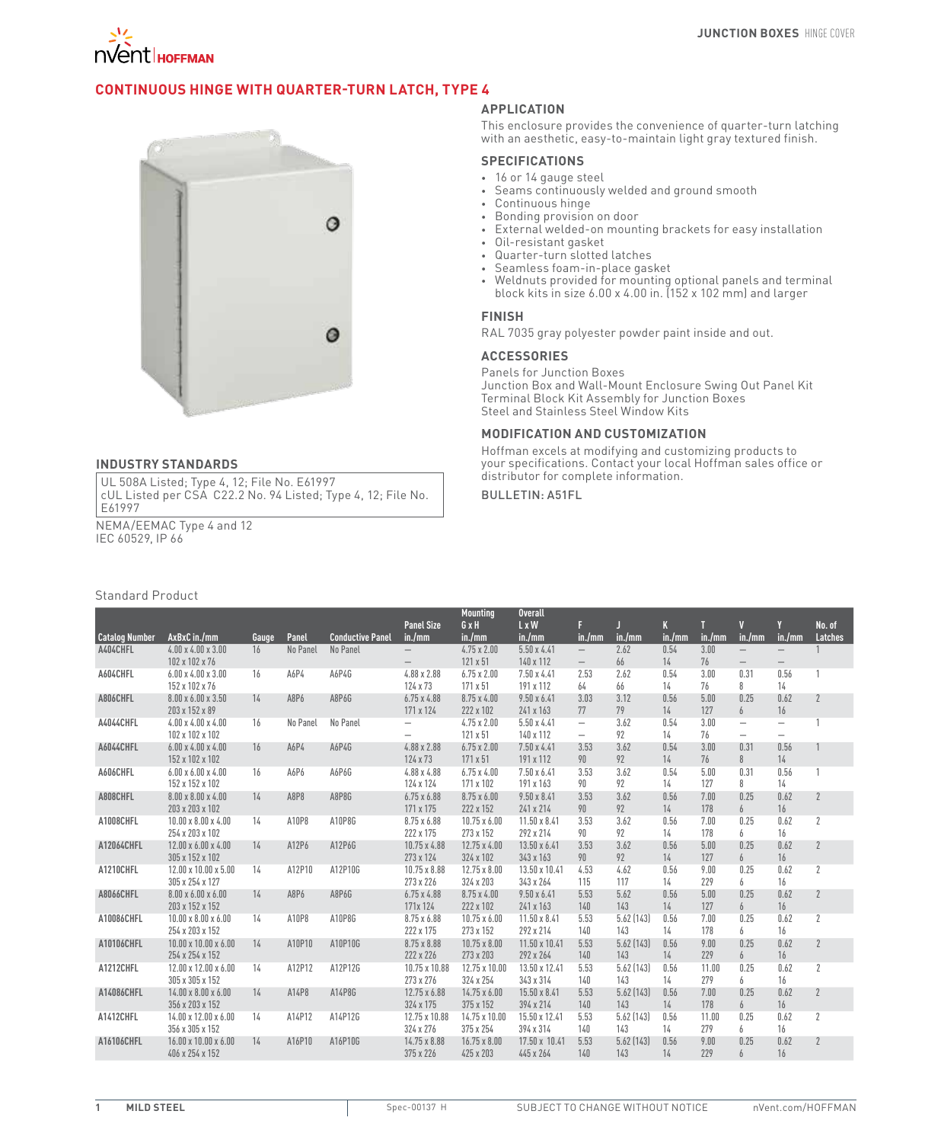

# **Continuous Hinge with Quarter-Turn Latch, Type 4**



#### **INDUSTRY STANDARDS**

UL 508A Listed; Type 4, 12; File No. E61997 cUL Listed per CSA C22.2 No. 94 Listed; Type 4, 12; File No. E61997

NEMA/EEMAC Type 4 and 12 IEC 60529, IP 66

#### Standard Product

### **APPLICATION**

This enclosure provides the convenience of quarter-turn latching with an aesthetic, easy-to-maintain light gray textured finish.

#### **SPECIFICATIONS**

- • 16 or 14 gauge steel
- Seams continuously welded and ground smooth
- • Continuous hinge
- • Bonding provision on door
- External welded-on mounting brackets for easy installation
- • Oil-resistant gasket
- • Quarter-turn slotted latches
- • Seamless foam-in-place gasket
- • Weldnuts provided for mounting optional panels and terminal block kits in size 6.00 x 4.00 in. (152 x 102 mm) and larger

## **FINISH**

RAL 7035 gray polyester powder paint inside and out.

# **ACCESSORIES**

Panels for Junction Boxes Junction Box and Wall-Mount Enclosure Swing Out Panel Kit Terminal Block Kit Assembly for Junction Boxes Steel and Stainless Steel Window Kits

#### **MODIFICATION AND CUSTOMIZATION**

Hoffman excels at modifying and customizing products to your specifications. Contact your local Hoffman sales office or distributor for complete information.

### Bulletin: A51FL

|                       |                                                   |       |          |                         |                                 | <b>Mounting</b>                 | <b>Overall</b>                  |                          |                   |             |              |                                   |                                  |                   |
|-----------------------|---------------------------------------------------|-------|----------|-------------------------|---------------------------------|---------------------------------|---------------------------------|--------------------------|-------------------|-------------|--------------|-----------------------------------|----------------------------------|-------------------|
| <b>Catalog Number</b> | AxBxC in./mm                                      | Gauge | Panel    | <b>Conductive Panel</b> | <b>Panel Size</b><br>in./mm     | GxH<br>in./mm                   | $L \times W$<br>in./mm          | F<br>in./mm              | in./mm            | K<br>in./mm | in./mm       | $\overline{\mathbf{u}}$<br>in./mm | Y<br>in./mm                      | No. of<br>Latches |
| A404CHFL              | $4.00 \times 4.00 \times 3.00$                    | 16    | No Panel | No Panel                | $\overline{\phantom{m}}$        | $4.75 \times 2.00$              | $5.50 \times 4.41$              | $\overline{\phantom{0}}$ | 2.62              | 0.54        | 3.00         | $\overline{\phantom{m}}$          | $\overline{\phantom{m}}$         |                   |
|                       | 102 x 102 x 76                                    |       |          |                         | $\!-$                           | 121 x 51                        | 140 x 112                       | $\qquad \qquad -$        | 66                | 14          | 76           | $\overline{\phantom{m}}$          | $\overline{\phantom{m}}$         |                   |
| A604CHFL              | $6.00 \times 4.00 \times 3.00$                    | 16    | A6P4     | A6P4G                   | 4.88 x 2.88                     | $6.75 \times 2.00$              | $7.50 \times 4.41$              | 2.53                     | 2.62              | 0.54        | 3.00         | 0.31                              | 0.56                             |                   |
|                       | 152 x 102 x 76                                    |       |          |                         | 124 x 73                        | 171 x 51                        | 191 x 112                       | 64                       | 66                | 14          | 76           | 8                                 | 14                               |                   |
| A806CHFL              | $8.00 \times 6.00 \times 3.50$                    | 14    | A8P6     | A8P6G                   | $6.75 \times 4.88$              | $8.75 \times 4.00$              | $9.50 \times 6.41$              | 3.03                     | 3.12              | 0.56        | 5.00         | 0.25                              | 0.62                             | $\overline{2}$    |
|                       | 203 x 152 x 89                                    |       |          |                         | 171 x 124                       | 222 x 102                       | 241 x 163                       | 77                       | 79                | 14          | 127          | 6                                 | 16                               |                   |
| A4044CHFL             | $4.00 \times 4.00 \times 4.00$                    | 16    | No Panel | No Panel                | $\overline{\phantom{0}}$        | $4.75 \times 2.00$              | $5.50 \times 4.41$              | $\overline{\phantom{0}}$ | 3.62              | 0.54        | 3.00         | $\overline{\phantom{m}}$          | $\overline{\phantom{0}}$         |                   |
|                       | 102 x 102 x 102                                   |       |          |                         | $\overline{\phantom{0}}$        | 121 x 51                        | 140 x 112                       | $\overline{\phantom{0}}$ | 92                | 14          | 76           | $\overline{\phantom{m}}$          | $\overbrace{\phantom{12322111}}$ |                   |
| A6044CHFL             | $6.00 \times 4.00 \times 4.00$                    | 16    | A6P4     | A6P4G                   | 4.88 x 2.88                     | $6.75 \times 2.00$              | 7.50 x 4.41                     | 3.53                     | 3.62              | 0.54        | 3.00         | 0.31                              | 0.56                             |                   |
|                       | 152 x 102 x 102                                   |       |          |                         | 124 x 73                        | 171 x 51                        | 191 x 112                       | 90                       | 92                | 14          | 76           | 8                                 | 14                               |                   |
| A606CHFL              | $6.00 \times 6.00 \times 4.00$                    | 16    | A6P6     | A6P6G                   | 4.88 x 4.88                     | $6.75 \times 4.00$              | $7.50 \times 6.41$              | 3.53                     | 3.62              | 0.54        | 5.00         | 0.31                              | 0.56                             |                   |
|                       | 152 x 152 x 102                                   |       |          |                         | 124 x 124                       | 171 x 102                       | 191 x 163                       | 90                       | 92                | 14          | 127          | 8                                 | 14                               |                   |
| A808CHFL              | $8.00 \times 8.00 \times 4.00$<br>203 x 203 x 102 | 14    | A8P8     | A8P8G                   | $6.75 \times 6.88$<br>171 x 175 | $8.75 \times 6.00$<br>222 x 152 | $9.50 \times 8.41$<br>241 x 214 | 3.53<br>90               | 3.62<br>92        | 0.56<br>14  | 7.00<br>178  | 0.25<br>6                         | 0.62<br>16                       | $\overline{2}$    |
| A1008CHFL             | $10.00 \times 8.00 \times 4.00$                   | 14    | A10P8    | A10P8G                  | 8.75 x 6.88                     | $10.75 \times 6.00$             | 11.50 x 8.41                    | 3.53                     | 3.62              | 0.56        | 7.00         | 0.25                              | 0.62                             | $\overline{2}$    |
|                       | 254 x 203 x 102                                   |       |          |                         | 222 x 175                       | 273 x 152                       | 292 x 214                       | 90                       | 92                | 14          | 178          | 6                                 | 16                               |                   |
| A12064CHFL            | 12.00 x 6.00 x 4.00                               | 14    | A12P6    | A12P6G                  | 10.75 x 4.88                    | $12.75 \times 4.00$             | 13.50 x 6.41                    | 3.53                     | 3.62              | 0.56        | 5.00         | 0.25                              | 0.62                             | $\overline{2}$    |
|                       | 305 x 152 x 102                                   |       |          |                         | 273 x 124                       | 324 x 102                       | 343 x 163                       | 90                       | 92                | 14          | 127          | $\overline{6}$                    | 16                               |                   |
| A1210CHFL             | 12.00 x 10.00 x 5.00                              | 14    | A12P10   | A12P10G                 | 10.75 x 8.88                    | $12.75 \times 8.00$             | 13.50 x 10.41                   | 4.53                     | 4.62              | 0.56        | 9.00         | 0.25                              | 0.62                             | $\overline{2}$    |
|                       | 305 x 254 x 127                                   |       |          |                         | 273 x 226                       | 324 x 203                       | 343 x 264                       | 115                      | 117               | 14          | 229          | 6                                 | 16                               |                   |
| A8066CHFL             | $8.00 \times 6.00 \times 6.00$                    | 14    | A8P6     | A8P6G                   | $6.75 \times 4.88$              | $8.75 \times 4.00$              | $9.50 \times 6.41$              | 5.53                     | 5.62              | 0.56        | 5.00         | 0.25                              | 0.62                             | $\overline{2}$    |
|                       | 203 x 152 x 152                                   |       |          |                         | 171x 124                        | 222 x 102                       | 241 x 163                       | 140                      | 143               | 14          | 127          | 6                                 | 16                               |                   |
| A10086CHFL            | $10.00 \times 8.00 \times 6.00$                   | 14    | A10P8    | A10P8G                  | 8.75 x 6.88                     | $10.75 \times 6.00$             | $11.50 \times 8.41$             | 5.53                     | $5.62$ (143)      | 0.56        | 7.00         | 0.25                              | 0.62                             | $\overline{2}$    |
|                       | 254 x 203 x 152                                   |       |          |                         | 222 x 175                       | 273 x 152                       | 292 x 214                       | 140                      | 143               | 14          | 178          | 6                                 | 16                               |                   |
| A10106CHFL            | $10.00 \times 10.00 \times 6.00$                  | 14    | A10P10   | A10P10G                 | 8.75 x 8.88                     | $10.75 \times 8.00$             | 11.50 x 10.41                   | 5.53                     | $5.62$ (143)      | 0.56        | 9.00         | 0.25                              | 0.62                             | $\overline{2}$    |
|                       | 254 x 254 x 152                                   |       |          |                         | 222 x 226                       | 273 x 203                       | 292 x 264                       | 140                      | 143               | 14          | 229          | 6                                 | 16                               |                   |
| A1212CHFL             | 12.00 x 12.00 x 6.00                              | 14    | A12P12   | A12P12G                 | 10.75 x 10.88                   | 12.75 x 10.00                   | 13.50 x 12.41                   | 5.53                     | 5.62 (143)        | 0.56        | 11.00        | 0.25                              | 0.62                             | $\overline{2}$    |
|                       | 305 x 305 x 152                                   |       |          |                         | 273 x 276                       | 324 x 254                       | 343 x 314                       | 140                      | 143               | 14          | 279          | 6                                 | 16                               |                   |
| A14086CHFL            | $14.00 \times 8.00 \times 6.00$                   | 14    | A14P8    | A14P8G                  | 12.75 x 6.88                    | $14.75 \times 6.00$             | 15.50 x 8.41                    | 5.53                     | $5.62$ (143)      | 0.56        | 7.00         | 0.25                              | 0.62                             | $\overline{2}$    |
|                       | 356 x 203 x 152                                   |       |          |                         | 324 x 175                       | 375 x 152                       | 394 x 214                       | 140                      | 143               | 14          | 178          | 6                                 | 16                               |                   |
| A1412CHFL             | 14.00 x 12.00 x 6.00<br>356 x 305 x 152           | 14    | A14P12   | A14P12G                 | 12.75 x 10.88<br>324 x 276      | 14.75 x 10.00<br>375 x 254      | 15.50 x 12.41<br>394 x 314      | 5.53<br>140              | 5.62 (143)<br>143 | 0.56<br>14  | 11.00<br>279 | 0.25<br>6                         | 0.62<br>16                       | $\overline{2}$    |
| A16106CHFL            | 16.00 x 10.00 x 6.00                              | 14    | A16P10   | A16P10G                 | 14.75 x 8.88                    | $16.75 \times 8.00$             | 17.50 x 10.41                   | 5.53                     | 5.62 (143)        | 0.56        | 9.00         | 0.25                              | 0.62                             | $\overline{2}$    |
|                       | 406 x 254 x 152                                   |       |          |                         | 375 x 226                       | 425 x 203                       | 445 x 264                       | 140                      | 143               | 14          | 229          | $\overline{h}$                    | 16                               |                   |